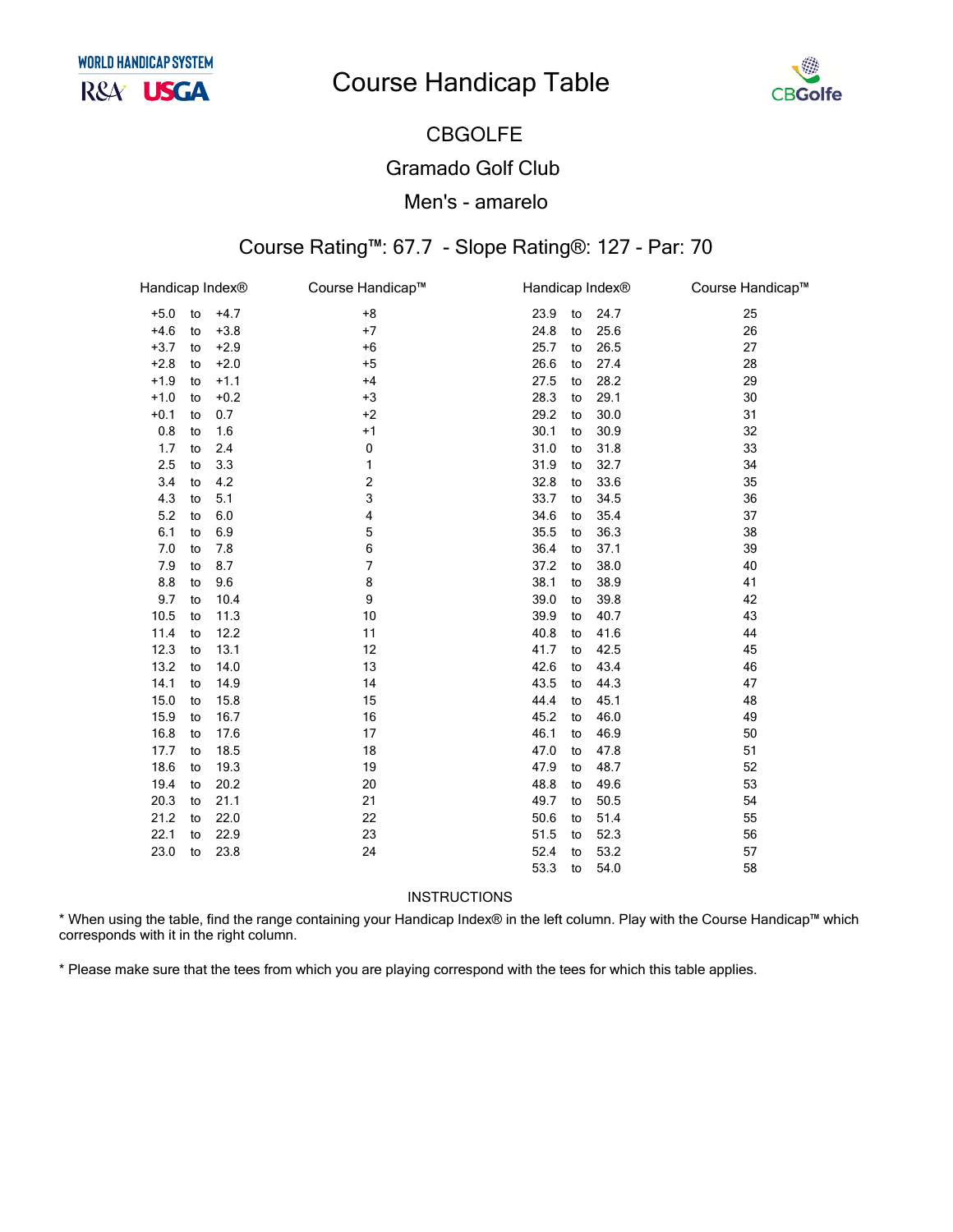## **Course Handicap Table**



# **CBGOLFE**

## **Gramado Golf Club**

#### Men's - amarelo

## Course Rating™: 67.7 - Slope Rating®: 127 - Par: 70

| Handicap Index® |    |        | Course Handicap™ | Handicap Index® |    |      | Course Handicap™ |
|-----------------|----|--------|------------------|-----------------|----|------|------------------|
| $+5.0$          | to | $+4.7$ | $+8$             | 23.9            | to | 24.7 | 25               |
| $+4.6$          | to | $+3.8$ | $+7$             | 24.8            | to | 25.6 | 26               |
| $+3.7$          | to | $+2.9$ | $+6$             | 25.7            | to | 26.5 | 27               |
| $+2.8$          | to | $+2.0$ | $+5$             | 26.6            | to | 27.4 | 28               |
| $+1.9$          | to | $+1.1$ | $+4$             | 27.5            | to | 28.2 | 29               |
| $+1.0$          | to | $+0.2$ | $+3$             | 28.3            | to | 29.1 | 30               |
| $+0.1$          | to | 0.7    | $+2$             | 29.2            | to | 30.0 | 31               |
| 0.8             | to | 1.6    | $+1$             | 30.1            | to | 30.9 | 32               |
| 1.7             | to | 2.4    | 0                | 31.0            | to | 31.8 | 33               |
| 2.5             | to | 3.3    | 1                | 31.9            | to | 32.7 | 34               |
| 3.4             | to | 4.2    | 2                | 32.8            | to | 33.6 | 35               |
| 4.3             | to | 5.1    | 3                | 33.7            | to | 34.5 | 36               |
| 5.2             | to | 6.0    | 4                | 34.6            | to | 35.4 | 37               |
| 6.1             | to | 6.9    | 5                | 35.5            | to | 36.3 | 38               |
| 7.0             | to | 7.8    | 6                | 36.4            | to | 37.1 | 39               |
| 7.9             | to | 8.7    | 7                | 37.2            | to | 38.0 | 40               |
| 8.8             | to | 9.6    | 8                | 38.1            | to | 38.9 | 41               |
| 9.7             | to | 10.4   | 9                | 39.0            | to | 39.8 | 42               |
| 10.5            | to | 11.3   | 10               | 39.9            | to | 40.7 | 43               |
| 11.4            | to | 12.2   | 11               | 40.8            | to | 41.6 | 44               |
| 12.3            | to | 13.1   | 12               | 41.7            | to | 42.5 | 45               |
| 13.2            | to | 14.0   | 13               | 42.6            | to | 43.4 | 46               |
| 14.1            | to | 14.9   | 14               | 43.5            | to | 44.3 | 47               |
| 15.0            | to | 15.8   | 15               | 44.4            | to | 45.1 | 48               |
| 15.9            | to | 16.7   | 16               | 45.2            | to | 46.0 | 49               |
| 16.8            | to | 17.6   | 17               | 46.1            | to | 46.9 | 50               |
| 17.7            | to | 18.5   | 18               | 47.0            | to | 47.8 | 51               |
| 18.6            | to | 19.3   | 19               | 47.9            | to | 48.7 | 52               |
| 19.4            | to | 20.2   | 20               | 48.8            | to | 49.6 | 53               |
| 20.3            | to | 21.1   | 21               | 49.7            | to | 50.5 | 54               |
| 21.2            | to | 22.0   | 22               | 50.6            | to | 51.4 | 55               |
| 22.1            | to | 22.9   | 23               | 51.5            | to | 52.3 | 56               |
| 23.0            | to | 23.8   | 24               | 52.4            | to | 53.2 | 57               |
|                 |    |        |                  | 53.3            | to | 54.0 | 58               |

**INSTRUCTIONS** 

\* When using the table, find the range containing your Handicap Index® in the left column. Play with the Course Handicap™ which corresponds with it in the right column.

\* Please make sure that the tees from which you are playing correspond with the tees for which this table applies.